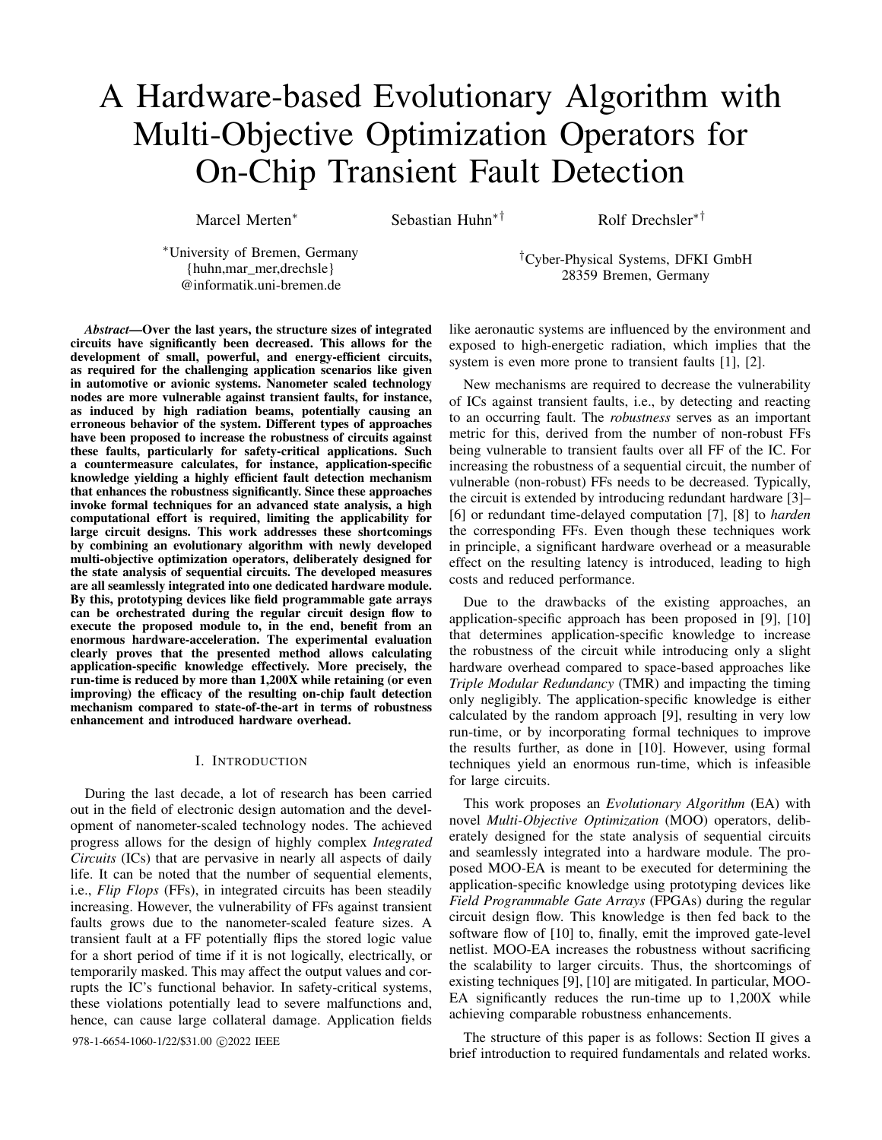# A Hardware-based Evolutionary Algorithm with Multi-Objective Optimization Operators for On-Chip Transient Fault Detection

Marcel Merten<sup>∗</sup> Sebastian Huhn<sup>∗†</sup> Rolf Drechsler<sup>∗†</sup>

<sup>∗</sup>University of Bremen, Germany {huhn,mar\_mer,drechsle} @informatik.uni-bremen.de

*Abstract*—Over the last years, the structure sizes of integrated circuits have significantly been decreased. This allows for the development of small, powerful, and energy-efficient circuits, as required for the challenging application scenarios like given in automotive or avionic systems. Nanometer scaled technology nodes are more vulnerable against transient faults, for instance, as induced by high radiation beams, potentially causing an erroneous behavior of the system. Different types of approaches have been proposed to increase the robustness of circuits against these faults, particularly for safety-critical applications. Such a countermeasure calculates, for instance, application-specific knowledge yielding a highly efficient fault detection mechanism that enhances the robustness significantly. Since these approaches invoke formal techniques for an advanced state analysis, a high computational effort is required, limiting the applicability for large circuit designs. This work addresses these shortcomings by combining an evolutionary algorithm with newly developed multi-objective optimization operators, deliberately designed for the state analysis of sequential circuits. The developed measures are all seamlessly integrated into one dedicated hardware module. By this, prototyping devices like field programmable gate arrays can be orchestrated during the regular circuit design flow to execute the proposed module to, in the end, benefit from an enormous hardware-acceleration. The experimental evaluation clearly proves that the presented method allows calculating application-specific knowledge effectively. More precisely, the run-time is reduced by more than 1,200X while retaining (or even improving) the efficacy of the resulting on-chip fault detection mechanism compared to state-of-the-art in terms of robustness enhancement and introduced hardware overhead.

## I. INTRODUCTION

During the last decade, a lot of research has been carried out in the field of electronic design automation and the development of nanometer-scaled technology nodes. The achieved progress allows for the design of highly complex *Integrated Circuits* (ICs) that are pervasive in nearly all aspects of daily life. It can be noted that the number of sequential elements, i.e., *Flip Flops* (FFs), in integrated circuits has been steadily increasing. However, the vulnerability of FFs against transient faults grows due to the nanometer-scaled feature sizes. A transient fault at a FF potentially flips the stored logic value for a short period of time if it is not logically, electrically, or temporarily masked. This may affect the output values and corrupts the IC's functional behavior. In safety-critical systems, these violations potentially lead to severe malfunctions and, hence, can cause large collateral damage. Application fields

978-1-6654-1060-1/22/\$31.00 ©2022 IEEE

like aeronautic systems are influenced by the environment and exposed to high-energetic radiation, which implies that the

system is even more prone to transient faults [1], [2].

†Cyber-Physical Systems, DFKI GmbH 28359 Bremen, Germany

New mechanisms are required to decrease the vulnerability of ICs against transient faults, i.e., by detecting and reacting to an occurring fault. The *robustness* serves as an important metric for this, derived from the number of non-robust FFs being vulnerable to transient faults over all FF of the IC. For increasing the robustness of a sequential circuit, the number of vulnerable (non-robust) FFs needs to be decreased. Typically, the circuit is extended by introducing redundant hardware [3]– [6] or redundant time-delayed computation [7], [8] to *harden* the corresponding FFs. Even though these techniques work in principle, a significant hardware overhead or a measurable effect on the resulting latency is introduced, leading to high costs and reduced performance.

Due to the drawbacks of the existing approaches, an application-specific approach has been proposed in [9], [10] that determines application-specific knowledge to increase the robustness of the circuit while introducing only a slight hardware overhead compared to space-based approaches like *Triple Modular Redundancy* (TMR) and impacting the timing only negligibly. The application-specific knowledge is either calculated by the random approach [9], resulting in very low run-time, or by incorporating formal techniques to improve the results further, as done in [10]. However, using formal techniques yield an enormous run-time, which is infeasible for large circuits.

This work proposes an *Evolutionary Algorithm* (EA) with novel *Multi-Objective Optimization* (MOO) operators, deliberately designed for the state analysis of sequential circuits and seamlessly integrated into a hardware module. The proposed MOO-EA is meant to be executed for determining the application-specific knowledge using prototyping devices like *Field Programmable Gate Arrays* (FPGAs) during the regular circuit design flow. This knowledge is then fed back to the software flow of [10] to, finally, emit the improved gate-level netlist. MOO-EA increases the robustness without sacrificing the scalability to larger circuits. Thus, the shortcomings of existing techniques [9], [10] are mitigated. In particular, MOO-EA significantly reduces the run-time up to 1,200X while achieving comparable robustness enhancements.

The structure of this paper is as follows: Section II gives a brief introduction to required fundamentals and related works.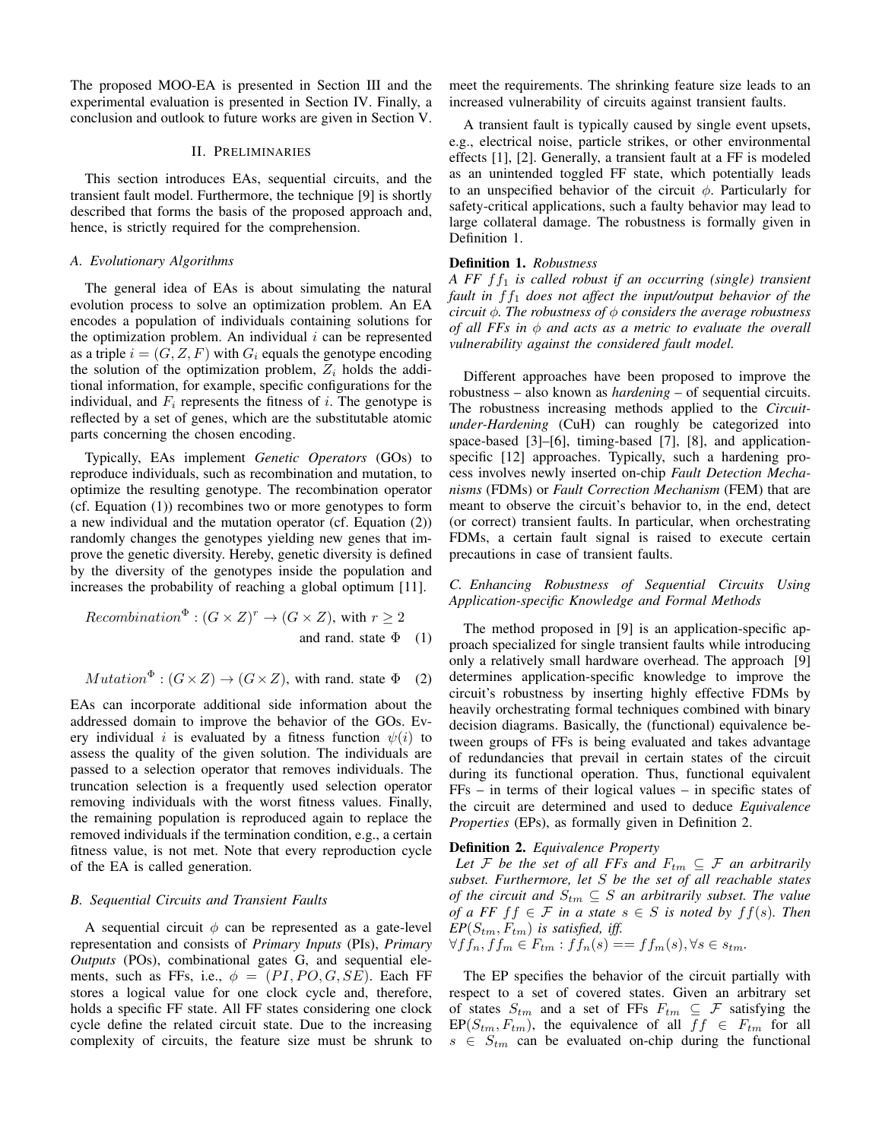The proposed MOO-EA is presented in Section III and the experimental evaluation is presented in Section IV. Finally, a conclusion and outlook to future works are given in Section V.

## II. PRELIMINARIES

This section introduces EAs, sequential circuits, and the transient fault model. Furthermore, the technique [9] is shortly described that forms the basis of the proposed approach and, hence, is strictly required for the comprehension.

## *A. Evolutionary Algorithms*

The general idea of EAs is about simulating the natural evolution process to solve an optimization problem. An EA encodes a population of individuals containing solutions for the optimization problem. An individual  $i$  can be represented as a triple  $i = (G, Z, F)$  with  $G_i$  equals the genotype encoding the solution of the optimization problem,  $Z_i$  holds the additional information, for example, specific configurations for the individual, and  $F_i$  represents the fitness of i. The genotype is reflected by a set of genes, which are the substitutable atomic parts concerning the chosen encoding.

Typically, EAs implement *Genetic Operators* (GOs) to reproduce individuals, such as recombination and mutation, to optimize the resulting genotype. The recombination operator (cf. Equation (1)) recombines two or more genotypes to form a new individual and the mutation operator (cf. Equation (2)) randomly changes the genotypes yielding new genes that improve the genetic diversity. Hereby, genetic diversity is defined by the diversity of the genotypes inside the population and increases the probability of reaching a global optimum [11].

Recommendation<sup>$$
\Phi
$$</sup> :  $(G \times Z)^r \to (G \times Z)$ , with  $r \ge 2$   
and rand. state  $\Phi$  (1)

$$
Mutation^{\Phi} : (G \times Z) \to (G \times Z), \text{ with rand. state } \Phi \quad (2)
$$

EAs can incorporate additional side information about the addressed domain to improve the behavior of the GOs. Every individual *i* is evaluated by a fitness function  $\psi(i)$  to assess the quality of the given solution. The individuals are passed to a selection operator that removes individuals. The truncation selection is a frequently used selection operator removing individuals with the worst fitness values. Finally, the remaining population is reproduced again to replace the removed individuals if the termination condition, e.g., a certain fitness value, is not met. Note that every reproduction cycle of the EA is called generation.

## *B. Sequential Circuits and Transient Faults*

A sequential circuit  $\phi$  can be represented as a gate-level representation and consists of *Primary Inputs* (PIs), *Primary Outputs* (POs), combinational gates G, and sequential elements, such as FFs, i.e.,  $\phi = (PI, PO, G, SE)$ . Each FF stores a logical value for one clock cycle and, therefore, holds a specific FF state. All FF states considering one clock cycle define the related circuit state. Due to the increasing complexity of circuits, the feature size must be shrunk to meet the requirements. The shrinking feature size leads to an increased vulnerability of circuits against transient faults.

A transient fault is typically caused by single event upsets, e.g., electrical noise, particle strikes, or other environmental effects [1], [2]. Generally, a transient fault at a FF is modeled as an unintended toggled FF state, which potentially leads to an unspecified behavior of the circuit  $\phi$ . Particularly for safety-critical applications, such a faulty behavior may lead to large collateral damage. The robustness is formally given in Definition 1.

## Definition 1. *Robustness*

*A FF* ff<sup>1</sup> *is called robust if an occurring (single) transient* fault in  $ff_1$  does not affect the input/output behavior of the *circuit* φ*. The robustness of* φ *considers the average robustness of all FFs in* φ *and acts as a metric to evaluate the overall vulnerability against the considered fault model.*

Different approaches have been proposed to improve the robustness – also known as *hardening* – of sequential circuits. The robustness increasing methods applied to the *Circuitunder-Hardening* (CuH) can roughly be categorized into space-based [3]–[6], timing-based [7], [8], and applicationspecific [12] approaches. Typically, such a hardening process involves newly inserted on-chip *Fault Detection Mechanisms* (FDMs) or *Fault Correction Mechanism* (FEM) that are meant to observe the circuit's behavior to, in the end, detect (or correct) transient faults. In particular, when orchestrating FDMs, a certain fault signal is raised to execute certain precautions in case of transient faults.

# *C. Enhancing Robustness of Sequential Circuits Using Application-specific Knowledge and Formal Methods*

The method proposed in [9] is an application-specific approach specialized for single transient faults while introducing only a relatively small hardware overhead. The approach [9] determines application-specific knowledge to improve the circuit's robustness by inserting highly effective FDMs by heavily orchestrating formal techniques combined with binary decision diagrams. Basically, the (functional) equivalence between groups of FFs is being evaluated and takes advantage of redundancies that prevail in certain states of the circuit during its functional operation. Thus, functional equivalent FFs – in terms of their logical values – in specific states of the circuit are determined and used to deduce *Equivalence Properties* (EPs), as formally given in Definition 2.

## Definition 2. *Equivalence Property*

*Let*  $\mathcal F$  *be the set of all FFs and*  $F_{tm} \subseteq \mathcal F$  *an arbitrarily subset. Furthermore, let* S *be the set of all reachable states of the circuit and*  $S_{tm} \subseteq S$  *an arbitrarily subset. The value of a FF*  $ff \in \mathcal{F}$  *in a state*  $s \in S$  *is noted by*  $ff(s)$ *. Then*  $EP(S_{tm}, F_{tm})$  *is satisfied, iff.* 

$$
\forall f f_n, f f_m \in F_{tm} : f f_n(s) == f f_m(s), \forall s \in s_{tm}.
$$

The EP specifies the behavior of the circuit partially with respect to a set of covered states. Given an arbitrary set of states  $S_{tm}$  and a set of FFs  $F_{tm} \subseteq \mathcal{F}$  satisfying the  $EP(S_{tm}, F_{tm})$ , the equivalence of all  $ff \in F_{tm}$  for all  $s \in S_{tm}$  can be evaluated on-chip during the functional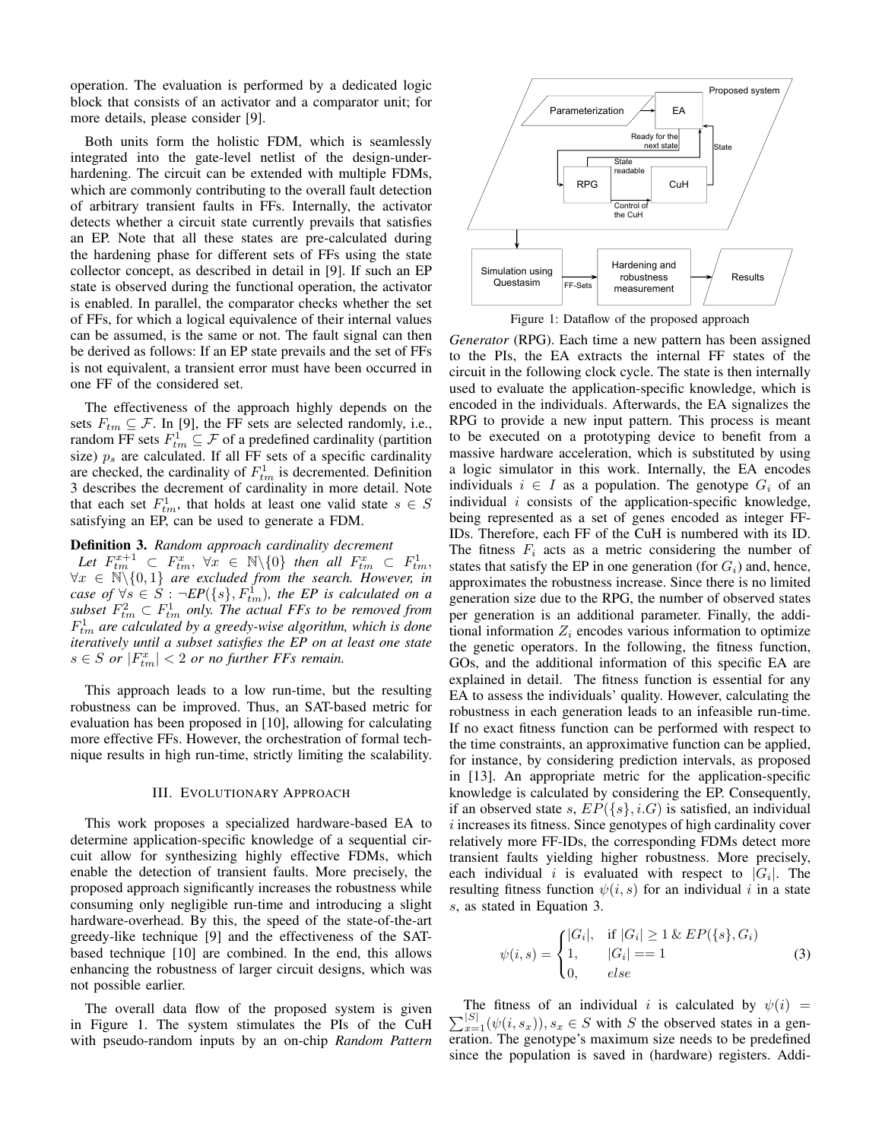operation. The evaluation is performed by a dedicated logic block that consists of an activator and a comparator unit; for more details, please consider [9].

Both units form the holistic FDM, which is seamlessly integrated into the gate-level netlist of the design-underhardening. The circuit can be extended with multiple FDMs, which are commonly contributing to the overall fault detection of arbitrary transient faults in FFs. Internally, the activator detects whether a circuit state currently prevails that satisfies an EP. Note that all these states are pre-calculated during the hardening phase for different sets of FFs using the state collector concept, as described in detail in [9]. If such an EP state is observed during the functional operation, the activator is enabled. In parallel, the comparator checks whether the set of FFs, for which a logical equivalence of their internal values can be assumed, is the same or not. The fault signal can then be derived as follows: If an EP state prevails and the set of FFs is not equivalent, a transient error must have been occurred in one FF of the considered set.

The effectiveness of the approach highly depends on the sets  $F_{tm} \subseteq \mathcal{F}$ . In [9], the FF sets are selected randomly, i.e., random FF sets  $F_{tm}^1 \subseteq \mathcal{F}$  of a predefined cardinality (partition size)  $p_s$  are calculated. If all FF sets of a specific cardinality are checked, the cardinality of  $F_{tm}^1$  is decremented. Definition 3 describes the decrement of cardinality in more detail. Note that each set  $F_{tm}^1$ , that holds at least one valid state  $s \in S$ satisfying an EP, can be used to generate a FDM.

# Definition 3. *Random approach cardinality decrement*

Let  $F_{tm}^{x+1} \subset F_{tm}^x$ ,  $\forall x \in \mathbb{N}\backslash\{0\}$  then all  $F_{tm}^x \subset F_{tm}^1$ ,  $\forall x \in \mathbb{N} \backslash \{0,1\}$  are excluded from the search. However, in *case of*  $\forall s$  ∈  $S$  :  $\neg EP({s}, F_{tm}^1)$ *, the EP is calculated on a* subset  $F_{tm}^2 \subset F_{tm}^1$  only. The actual FFs to be removed from  $F_{tm}^1$  are calculated by a greedy-wise algorithm, which is done *iteratively until a subset satisfies the EP on at least one state*  $s \in S$  *or*  $|F_{tm}^x| < 2$  *or no further FFs remain.* 

This approach leads to a low run-time, but the resulting robustness can be improved. Thus, an SAT-based metric for evaluation has been proposed in [10], allowing for calculating more effective FFs. However, the orchestration of formal technique results in high run-time, strictly limiting the scalability.

#### III. EVOLUTIONARY APPROACH

This work proposes a specialized hardware-based EA to determine application-specific knowledge of a sequential circuit allow for synthesizing highly effective FDMs, which enable the detection of transient faults. More precisely, the proposed approach significantly increases the robustness while consuming only negligible run-time and introducing a slight hardware-overhead. By this, the speed of the state-of-the-art greedy-like technique [9] and the effectiveness of the SATbased technique [10] are combined. In the end, this allows enhancing the robustness of larger circuit designs, which was not possible earlier.

The overall data flow of the proposed system is given in Figure 1. The system stimulates the PIs of the CuH with pseudo-random inputs by an on-chip *Random Pattern*



Figure 1: Dataflow of the proposed approach

*Generator* (RPG). Each time a new pattern has been assigned to the PIs, the EA extracts the internal FF states of the circuit in the following clock cycle. The state is then internally used to evaluate the application-specific knowledge, which is encoded in the individuals. Afterwards, the EA signalizes the RPG to provide a new input pattern. This process is meant to be executed on a prototyping device to benefit from a massive hardware acceleration, which is substituted by using a logic simulator in this work. Internally, the EA encodes individuals  $i \in I$  as a population. The genotype  $G_i$  of an individual  $i$  consists of the application-specific knowledge, being represented as a set of genes encoded as integer FF-IDs. Therefore, each FF of the CuH is numbered with its ID. The fitness  $F_i$  acts as a metric considering the number of states that satisfy the EP in one generation (for  $G_i$ ) and, hence, approximates the robustness increase. Since there is no limited generation size due to the RPG, the number of observed states per generation is an additional parameter. Finally, the additional information  $Z_i$  encodes various information to optimize the genetic operators. In the following, the fitness function, GOs, and the additional information of this specific EA are explained in detail. The fitness function is essential for any EA to assess the individuals' quality. However, calculating the robustness in each generation leads to an infeasible run-time. If no exact fitness function can be performed with respect to the time constraints, an approximative function can be applied, for instance, by considering prediction intervals, as proposed in [13]. An appropriate metric for the application-specific knowledge is calculated by considering the EP. Consequently, if an observed state s,  $EP({s}, i,G)$  is satisfied, an individual  $i$  increases its fitness. Since genotypes of high cardinality cover relatively more FF-IDs, the corresponding FDMs detect more transient faults yielding higher robustness. More precisely, each individual i is evaluated with respect to  $|G_i|$ . The resulting fitness function  $\psi(i, s)$  for an individual i in a state s, as stated in Equation 3.

$$
\psi(i,s) = \begin{cases}\n|G_i|, & \text{if } |G_i| \ge 1 \& EP(\{s\}, G_i) \\
1, & |G_i| == 1 \\
0, & else\n\end{cases}
$$
\n(3)

The fitness of an individual i is calculated by  $\psi(i)$  =  $\sum_{x=1}^{|S|} (\psi(i, s_x)), s_x \in S$  with S the observed states in a generation. The genotype's maximum size needs to be predefined since the population is saved in (hardware) registers. Addi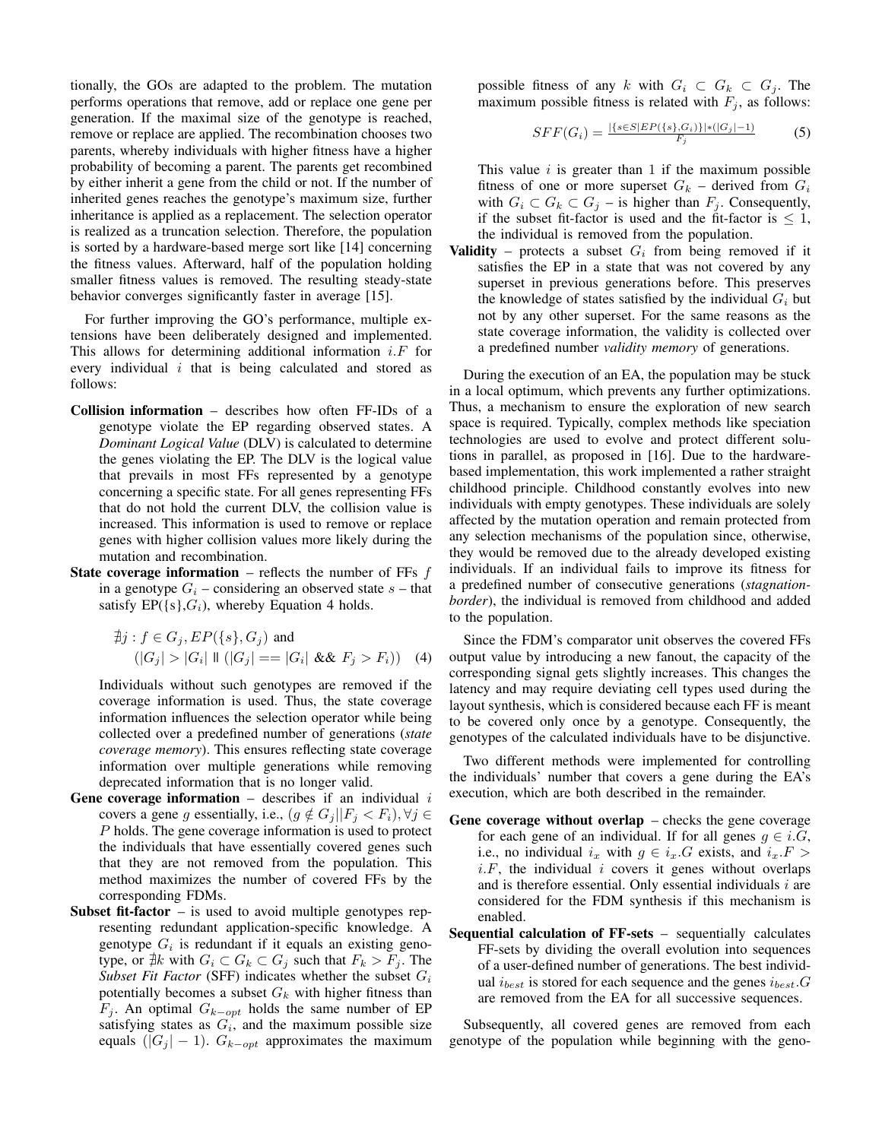tionally, the GOs are adapted to the problem. The mutation performs operations that remove, add or replace one gene per generation. If the maximal size of the genotype is reached, remove or replace are applied. The recombination chooses two parents, whereby individuals with higher fitness have a higher probability of becoming a parent. The parents get recombined by either inherit a gene from the child or not. If the number of inherited genes reaches the genotype's maximum size, further inheritance is applied as a replacement. The selection operator is realized as a truncation selection. Therefore, the population is sorted by a hardware-based merge sort like [14] concerning the fitness values. Afterward, half of the population holding smaller fitness values is removed. The resulting steady-state behavior converges significantly faster in average [15].

For further improving the GO's performance, multiple extensions have been deliberately designed and implemented. This allows for determining additional information  $i.F$  for every individual  $i$  that is being calculated and stored as follows:

- Collision information describes how often FF-IDs of a genotype violate the EP regarding observed states. A *Dominant Logical Value* (DLV) is calculated to determine the genes violating the EP. The DLV is the logical value that prevails in most FFs represented by a genotype concerning a specific state. For all genes representing FFs that do not hold the current DLV, the collision value is increased. This information is used to remove or replace genes with higher collision values more likely during the mutation and recombination.
- **State coverage information** reflects the number of FFs  $f$ in a genotype  $G_i$  – considering an observed state  $s$  – that satisfy  $EP({s}, G_i)$ , whereby Equation 4 holds.

$$
\nexists j : f \in G_j, EP(\{s\}, G_j) \text{ and}
$$
\n
$$
(|G_j| > |G_i| \parallel (|G_j| == |G_i| \& \& F_j > F_i))
$$
\n
$$
(4)
$$

Individuals without such genotypes are removed if the coverage information is used. Thus, the state coverage information influences the selection operator while being collected over a predefined number of generations (*state coverage memory*). This ensures reflecting state coverage information over multiple generations while removing deprecated information that is no longer valid.

- Gene coverage information  $-$  describes if an individual  $i$ covers a gene g essentially, i.e.,  $(g \notin G_j || F_j < F_i), \forall j \in$ P holds. The gene coverage information is used to protect the individuals that have essentially covered genes such that they are not removed from the population. This method maximizes the number of covered FFs by the corresponding FDMs.
- **Subset fit-factor** is used to avoid multiple genotypes representing redundant application-specific knowledge. A genotype  $G_i$  is redundant if it equals an existing genotype, or  $\nexists k$  with  $G_i \subset G_k \subset G_j$  such that  $F_k > F_j$ . The *Subset Fit Factor* (SFF) indicates whether the subset  $G_i$ potentially becomes a subset  $G_k$  with higher fitness than  $F_j$ . An optimal  $G_{k-opt}$  holds the same number of EP satisfying states as  $G_i$ , and the maximum possible size equals  $(|G_j| - 1)$ .  $G_{k-opt}$  approximates the maximum

possible fitness of any k with  $G_i \subset G_k \subset G_j$ . The maximum possible fitness is related with  $F_j$ , as follows:

$$
SFF(G_i) = \frac{|\{s \in S| EP(\{s\}, G_i)\}| * (|G_j| - 1)}{F_j} \tag{5}
$$

This value  $i$  is greater than 1 if the maximum possible fitness of one or more superset  $G_k$  – derived from  $G_i$ with  $G_i \subset G_k \subset G_j$  – is higher than  $F_j$ . Consequently, if the subset fit-factor is used and the fit-factor is  $\leq 1$ , the individual is removed from the population.

**Validity** – protects a subset  $G_i$  from being removed if it satisfies the EP in a state that was not covered by any superset in previous generations before. This preserves the knowledge of states satisfied by the individual  $G_i$  but not by any other superset. For the same reasons as the state coverage information, the validity is collected over a predefined number *validity memory* of generations.

During the execution of an EA, the population may be stuck in a local optimum, which prevents any further optimizations. Thus, a mechanism to ensure the exploration of new search space is required. Typically, complex methods like speciation technologies are used to evolve and protect different solutions in parallel, as proposed in [16]. Due to the hardwarebased implementation, this work implemented a rather straight childhood principle. Childhood constantly evolves into new individuals with empty genotypes. These individuals are solely affected by the mutation operation and remain protected from any selection mechanisms of the population since, otherwise, they would be removed due to the already developed existing individuals. If an individual fails to improve its fitness for a predefined number of consecutive generations (*stagnationborder*), the individual is removed from childhood and added to the population.

Since the FDM's comparator unit observes the covered FFs output value by introducing a new fanout, the capacity of the corresponding signal gets slightly increases. This changes the latency and may require deviating cell types used during the layout synthesis, which is considered because each FF is meant to be covered only once by a genotype. Consequently, the genotypes of the calculated individuals have to be disjunctive.

Two different methods were implemented for controlling the individuals' number that covers a gene during the EA's execution, which are both described in the remainder.

- Gene coverage without overlap checks the gene coverage for each gene of an individual. If for all genes  $g \in i.G$ , i.e., no individual  $i_x$  with  $g \in i_x.G$  exists, and  $i_x.F >$  $i.F$ , the individual  $i$  covers it genes without overlaps and is therefore essential. Only essential individuals  $i$  are considered for the FDM synthesis if this mechanism is enabled.
- Sequential calculation of FF-sets sequentially calculates FF-sets by dividing the overall evolution into sequences of a user-defined number of generations. The best individual  $i_{best}$  is stored for each sequence and the genes  $i_{best}$ . G are removed from the EA for all successive sequences.

Subsequently, all covered genes are removed from each genotype of the population while beginning with the geno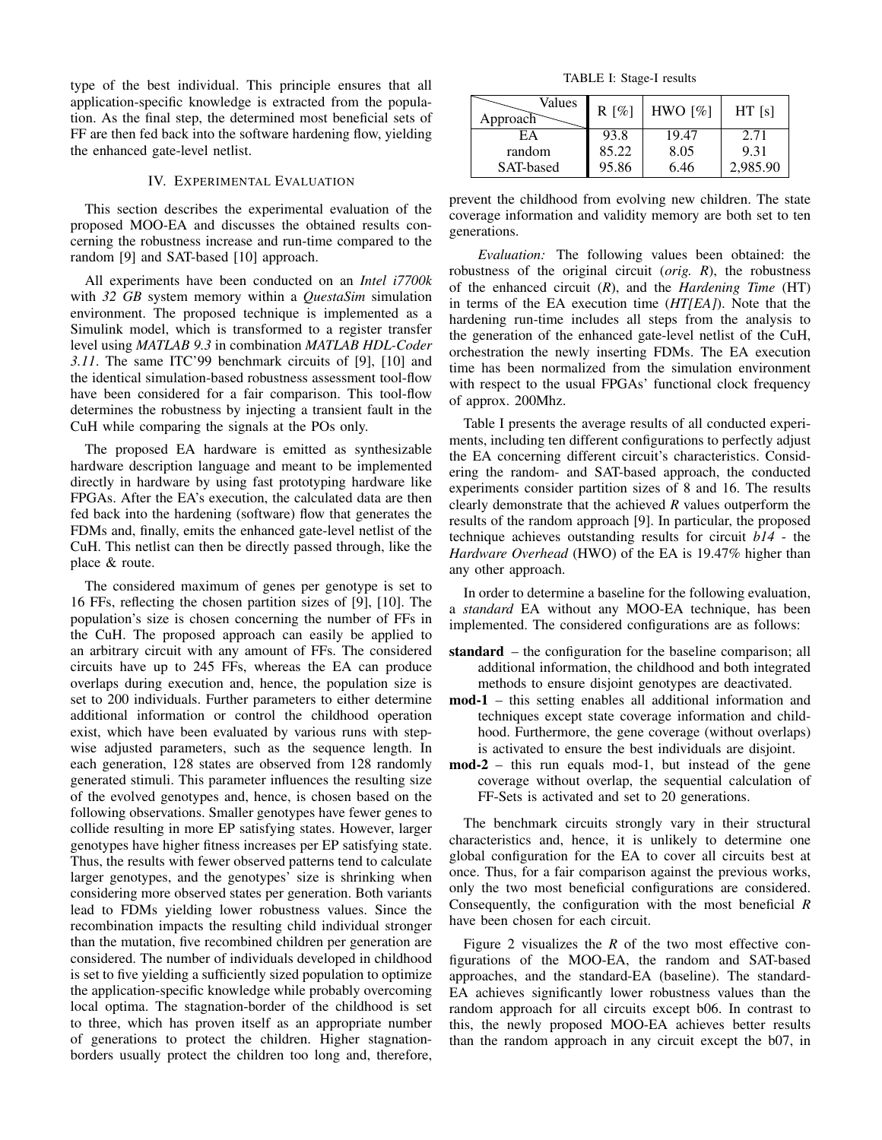type of the best individual. This principle ensures that all application-specific knowledge is extracted from the population. As the final step, the determined most beneficial sets of FF are then fed back into the software hardening flow, yielding the enhanced gate-level netlist.

## IV. EXPERIMENTAL EVALUATION

This section describes the experimental evaluation of the proposed MOO-EA and discusses the obtained results concerning the robustness increase and run-time compared to the random [9] and SAT-based [10] approach.

All experiments have been conducted on an *Intel i7700k* with *32 GB* system memory within a *QuestaSim* simulation environment. The proposed technique is implemented as a Simulink model, which is transformed to a register transfer level using *MATLAB 9.3* in combination *MATLAB HDL-Coder 3.11*. The same ITC'99 benchmark circuits of [9], [10] and the identical simulation-based robustness assessment tool-flow have been considered for a fair comparison. This tool-flow determines the robustness by injecting a transient fault in the CuH while comparing the signals at the POs only.

The proposed EA hardware is emitted as synthesizable hardware description language and meant to be implemented directly in hardware by using fast prototyping hardware like FPGAs. After the EA's execution, the calculated data are then fed back into the hardening (software) flow that generates the FDMs and, finally, emits the enhanced gate-level netlist of the CuH. This netlist can then be directly passed through, like the place & route.

The considered maximum of genes per genotype is set to 16 FFs, reflecting the chosen partition sizes of [9], [10]. The population's size is chosen concerning the number of FFs in the CuH. The proposed approach can easily be applied to an arbitrary circuit with any amount of FFs. The considered circuits have up to 245 FFs, whereas the EA can produce overlaps during execution and, hence, the population size is set to 200 individuals. Further parameters to either determine additional information or control the childhood operation exist, which have been evaluated by various runs with stepwise adjusted parameters, such as the sequence length. In each generation, 128 states are observed from 128 randomly generated stimuli. This parameter influences the resulting size of the evolved genotypes and, hence, is chosen based on the following observations. Smaller genotypes have fewer genes to collide resulting in more EP satisfying states. However, larger genotypes have higher fitness increases per EP satisfying state. Thus, the results with fewer observed patterns tend to calculate larger genotypes, and the genotypes' size is shrinking when considering more observed states per generation. Both variants lead to FDMs yielding lower robustness values. Since the recombination impacts the resulting child individual stronger than the mutation, five recombined children per generation are considered. The number of individuals developed in childhood is set to five yielding a sufficiently sized population to optimize the application-specific knowledge while probably overcoming local optima. The stagnation-border of the childhood is set to three, which has proven itself as an appropriate number of generations to protect the children. Higher stagnationborders usually protect the children too long and, therefore,

TABLE I: Stage-I results

| Values<br>Approach | $R [\%]$ | HWO $\lceil\% \rceil$ | HT [s]   |
|--------------------|----------|-----------------------|----------|
| ЕA                 | 93.8     | 19.47                 | 2.71     |
| random             | 85.22    | 8.05                  | 9.31     |
| SAT-based          | 95.86    | 6.46                  | 2.985.90 |

prevent the childhood from evolving new children. The state coverage information and validity memory are both set to ten generations.

*Evaluation:* The following values been obtained: the robustness of the original circuit (*orig. R*), the robustness of the enhanced circuit (*R*), and the *Hardening Time* (HT) in terms of the EA execution time (*HT[EA]*). Note that the hardening run-time includes all steps from the analysis to the generation of the enhanced gate-level netlist of the CuH, orchestration the newly inserting FDMs. The EA execution time has been normalized from the simulation environment with respect to the usual FPGAs' functional clock frequency of approx. 200Mhz.

Table I presents the average results of all conducted experiments, including ten different configurations to perfectly adjust the EA concerning different circuit's characteristics. Considering the random- and SAT-based approach, the conducted experiments consider partition sizes of 8 and 16. The results clearly demonstrate that the achieved *R* values outperform the results of the random approach [9]. In particular, the proposed technique achieves outstanding results for circuit *b14* - the *Hardware Overhead* (HWO) of the EA is 19.47% higher than any other approach.

In order to determine a baseline for the following evaluation, a *standard* EA without any MOO-EA technique, has been implemented. The considered configurations are as follows:

- standard the configuration for the baseline comparison; all additional information, the childhood and both integrated methods to ensure disjoint genotypes are deactivated.
- mod-1 this setting enables all additional information and techniques except state coverage information and childhood. Furthermore, the gene coverage (without overlaps) is activated to ensure the best individuals are disjoint.
- mod-2 this run equals mod-1, but instead of the gene coverage without overlap, the sequential calculation of FF-Sets is activated and set to 20 generations.

The benchmark circuits strongly vary in their structural characteristics and, hence, it is unlikely to determine one global configuration for the EA to cover all circuits best at once. Thus, for a fair comparison against the previous works, only the two most beneficial configurations are considered. Consequently, the configuration with the most beneficial *R* have been chosen for each circuit.

Figure 2 visualizes the *R* of the two most effective configurations of the MOO-EA, the random and SAT-based approaches, and the standard-EA (baseline). The standard-EA achieves significantly lower robustness values than the random approach for all circuits except b06. In contrast to this, the newly proposed MOO-EA achieves better results than the random approach in any circuit except the b07, in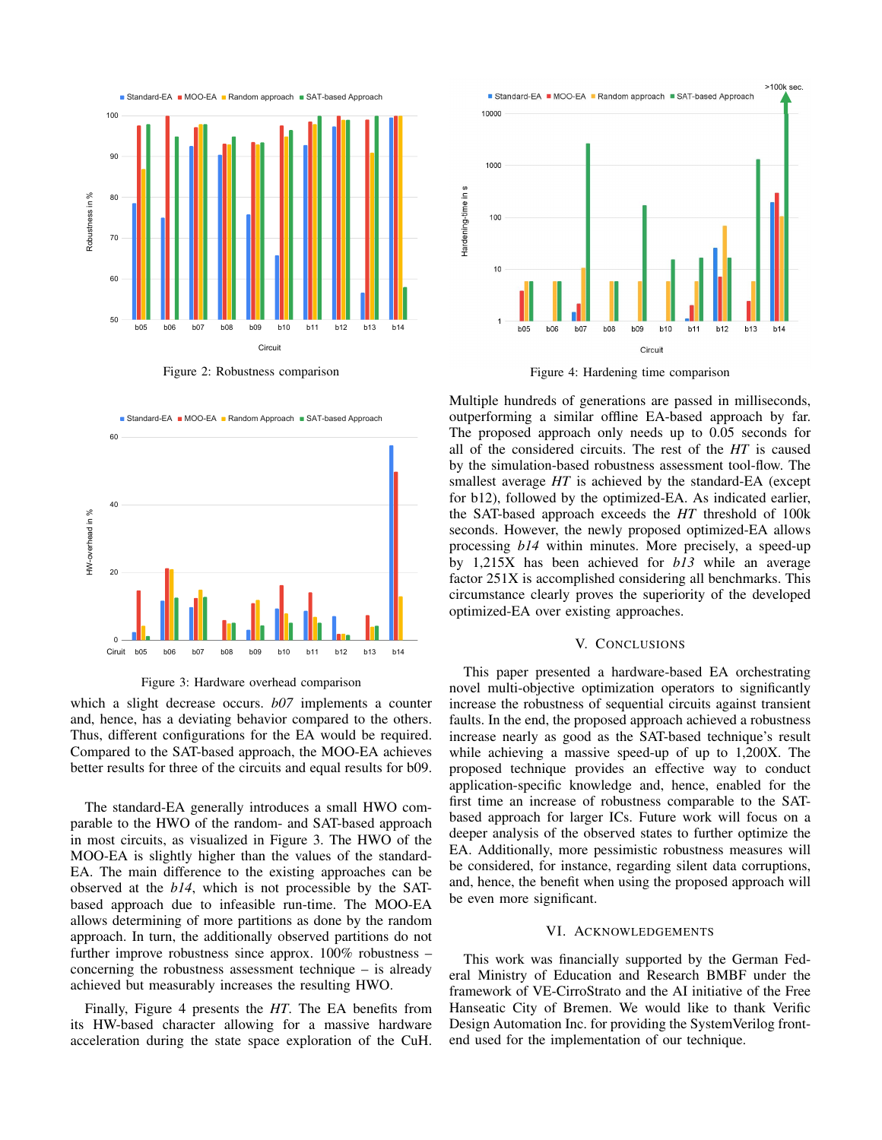

Figure 2: Robustness comparison



Figure 3: Hardware overhead comparison

which a slight decrease occurs. *b07* implements a counter and, hence, has a deviating behavior compared to the others. Thus, different configurations for the EA would be required. Compared to the SAT-based approach, the MOO-EA achieves better results for three of the circuits and equal results for b09.

The standard-EA generally introduces a small HWO comparable to the HWO of the random- and SAT-based approach in most circuits, as visualized in Figure 3. The HWO of the MOO-EA is slightly higher than the values of the standard-EA. The main difference to the existing approaches can be observed at the *b14*, which is not processible by the SATbased approach due to infeasible run-time. The MOO-EA allows determining of more partitions as done by the random approach. In turn, the additionally observed partitions do not further improve robustness since approx. 100% robustness – concerning the robustness assessment technique – is already achieved but measurably increases the resulting HWO.

Finally, Figure 4 presents the *HT*. The EA benefits from its HW-based character allowing for a massive hardware acceleration during the state space exploration of the CuH.



Figure 4: Hardening time comparison

Multiple hundreds of generations are passed in milliseconds, outperforming a similar offline EA-based approach by far. The proposed approach only needs up to 0.05 seconds for all of the considered circuits. The rest of the *HT* is caused by the simulation-based robustness assessment tool-flow. The smallest average *HT* is achieved by the standard-EA (except for b12), followed by the optimized-EA. As indicated earlier, the SAT-based approach exceeds the *HT* threshold of 100k seconds. However, the newly proposed optimized-EA allows processing *b14* within minutes. More precisely, a speed-up by 1,215X has been achieved for *b13* while an average factor 251X is accomplished considering all benchmarks. This circumstance clearly proves the superiority of the developed optimized-EA over existing approaches.

#### V. CONCLUSIONS

This paper presented a hardware-based EA orchestrating novel multi-objective optimization operators to significantly increase the robustness of sequential circuits against transient faults. In the end, the proposed approach achieved a robustness increase nearly as good as the SAT-based technique's result while achieving a massive speed-up of up to 1,200X. The proposed technique provides an effective way to conduct application-specific knowledge and, hence, enabled for the first time an increase of robustness comparable to the SATbased approach for larger ICs. Future work will focus on a deeper analysis of the observed states to further optimize the EA. Additionally, more pessimistic robustness measures will be considered, for instance, regarding silent data corruptions, and, hence, the benefit when using the proposed approach will be even more significant.

#### VI. ACKNOWLEDGEMENTS

This work was financially supported by the German Federal Ministry of Education and Research BMBF under the framework of VE-CirroStrato and the AI initiative of the Free Hanseatic City of Bremen. We would like to thank Verific Design Automation Inc. for providing the SystemVerilog frontend used for the implementation of our technique.